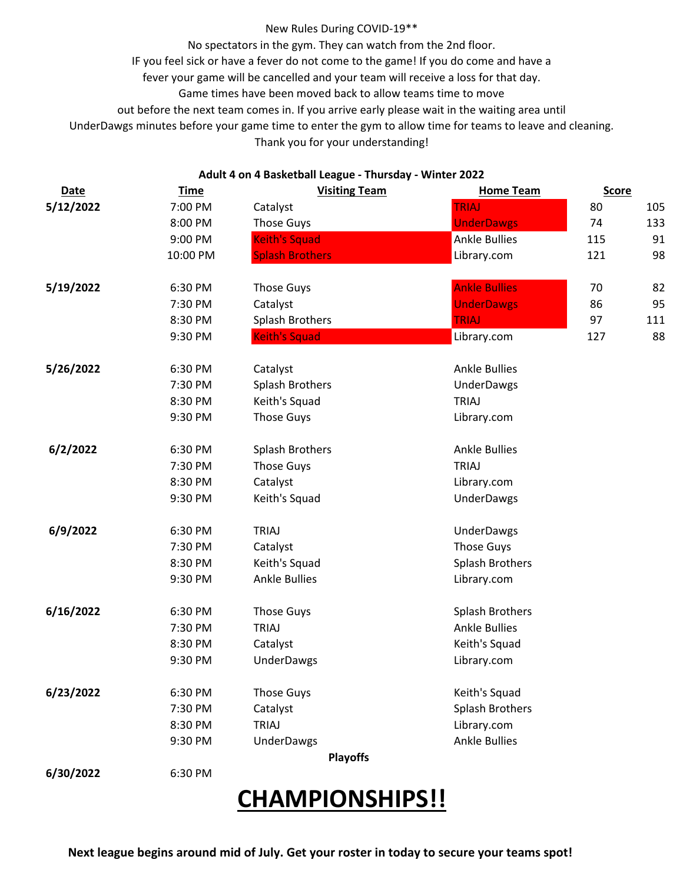## New Rules During COVID-19\*\*

No spectators in the gym. They can watch from the 2nd floor.

IF you feel sick or have a fever do not come to the game! If you do come and have a

fever your game will be cancelled and your team will receive a loss for that day.

Game times have been moved back to allow teams time to move

out before the next team comes in. If you arrive early please wait in the waiting area until

UnderDawgs minutes before your game time to enter the gym to allow time for teams to leave and cleaning.

Thank you for your understanding!

## **Adult 4 on 4 Basketball League - Thursday - Winter 2022**

| <b>Date</b> | <b>Time</b> | <b>Visiting Team</b>                   | <b>Home Team</b>       | <b>Score</b> |     |
|-------------|-------------|----------------------------------------|------------------------|--------------|-----|
| 5/12/2022   | 7:00 PM     | Catalyst                               | <b>TRIAJ</b>           | 80           | 105 |
|             | 8:00 PM     | <b>Those Guys</b>                      | <b>UnderDawgs</b>      | 74           | 133 |
|             | 9:00 PM     | <b>Keith's Squad</b>                   | <b>Ankle Bullies</b>   | 115          | 91  |
|             | 10:00 PM    | <b>Splash Brothers</b>                 | Library.com            | 121          | 98  |
| 5/19/2022   | 6:30 PM     | <b>Those Guys</b>                      | <b>Ankle Bullies</b>   | 70           | 82  |
|             | 7:30 PM     | Catalyst                               | <b>UnderDawgs</b>      | 86           | 95  |
|             | 8:30 PM     | <b>Splash Brothers</b><br><b>TRIAJ</b> |                        | 97           | 111 |
|             | 9:30 PM     | <b>Keith's Squad</b>                   | Library.com            | 127          | 88  |
| 5/26/2022   | 6:30 PM     | Catalyst                               | <b>Ankle Bullies</b>   |              |     |
|             | 7:30 PM     | <b>Splash Brothers</b>                 | <b>UnderDawgs</b>      |              |     |
|             | 8:30 PM     | Keith's Squad                          | <b>TRIAJ</b>           |              |     |
|             | 9:30 PM     | <b>Those Guys</b>                      | Library.com            |              |     |
| 6/2/2022    | 6:30 PM     | Splash Brothers                        | <b>Ankle Bullies</b>   |              |     |
|             | 7:30 PM     | <b>Those Guys</b>                      | <b>TRIAJ</b>           |              |     |
|             | 8:30 PM     | Catalyst                               | Library.com            |              |     |
|             | 9:30 PM     | Keith's Squad                          | <b>UnderDawgs</b>      |              |     |
| 6/9/2022    | 6:30 PM     | <b>TRIAJ</b>                           | <b>UnderDawgs</b>      |              |     |
|             | 7:30 PM     | Those Guys<br>Catalyst                 |                        |              |     |
|             | 8:30 PM     | Keith's Squad                          | Splash Brothers        |              |     |
|             | 9:30 PM     | <b>Ankle Bullies</b>                   | Library.com            |              |     |
| 6/16/2022   | 6:30 PM     | <b>Those Guys</b>                      | <b>Splash Brothers</b> |              |     |
|             | 7:30 PM     | <b>TRIAJ</b>                           | <b>Ankle Bullies</b>   |              |     |
|             | 8:30 PM     | Catalyst                               | Keith's Squad          |              |     |
|             | 9:30 PM     | <b>UnderDawgs</b>                      | Library.com            |              |     |
| 6/23/2022   | 6:30 PM     | <b>Those Guys</b>                      | Keith's Squad          |              |     |
|             | 7:30 PM     | Catalyst                               | <b>Splash Brothers</b> |              |     |
|             | 8:30 PM     | <b>TRIAJ</b>                           | Library.com            |              |     |
|             | 9:30 PM     | <b>UnderDawgs</b>                      | <b>Ankle Bullies</b>   |              |     |
|             |             | <b>Playoffs</b>                        |                        |              |     |
| 6/30/2022   | 6:30 PM     |                                        |                        |              |     |

## **CHAMPIONSHIPS!!**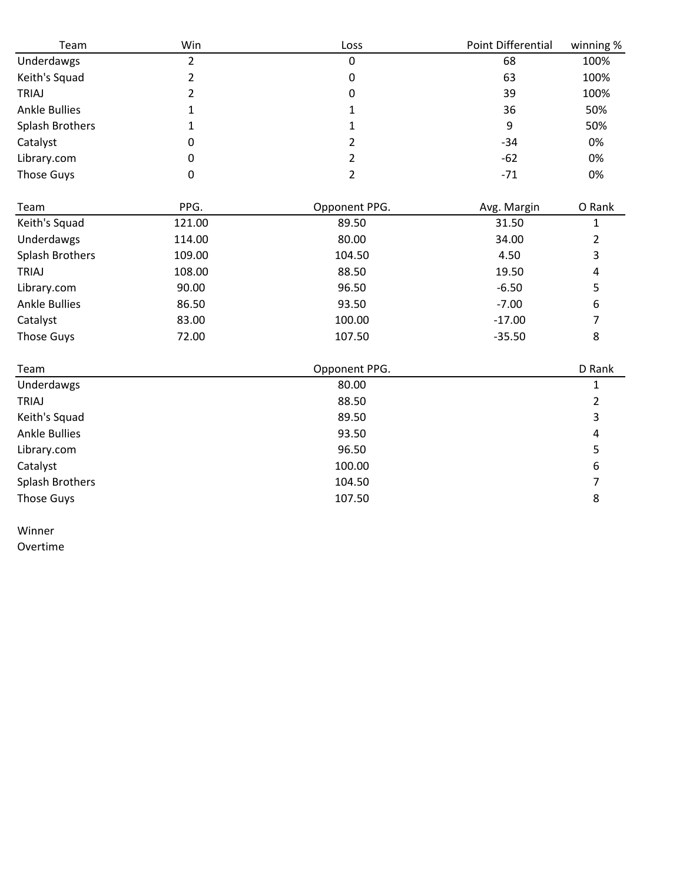| Team                 | Win            | Loss           | Point Differential | winning %      |
|----------------------|----------------|----------------|--------------------|----------------|
| Underdawgs           | $\overline{2}$ | 0              | 68                 | 100%           |
| Keith's Squad        | $\overline{2}$ | 0              | 63                 | 100%           |
| <b>TRIAJ</b>         | $\overline{2}$ | 0              | 39                 | 100%           |
| <b>Ankle Bullies</b> | 1              | 1              | 36                 | 50%            |
| Splash Brothers      | 1              | $\mathbf{1}$   | 9                  | 50%            |
| Catalyst             | 0              | $\overline{2}$ | $-34$              | 0%             |
| Library.com          | 0              | $\overline{2}$ | $-62$              | 0%             |
| <b>Those Guys</b>    | 0              | $\overline{2}$ | $-71$              | 0%             |
| Team                 | PPG.           | Opponent PPG.  | Avg. Margin        | O Rank         |
| Keith's Squad        | 121.00         | 89.50          | 31.50              | 1              |
| Underdawgs           | 114.00         | 80.00          | 34.00              | $\overline{2}$ |
| Splash Brothers      | 109.00         | 104.50         | 4.50               | 3              |
| <b>TRIAJ</b>         | 108.00         | 88.50          | 19.50              | 4              |
| Library.com          | 90.00          | 96.50          | $-6.50$            | 5              |
| <b>Ankle Bullies</b> | 86.50          | 93.50          | $-7.00$            | 6              |
| Catalyst             | 83.00          | 100.00         | $-17.00$           | 7              |
| <b>Those Guys</b>    | 72.00          | 107.50         | $-35.50$           | 8              |
| Team                 |                | Opponent PPG.  |                    | D Rank         |
| Underdawgs           |                | 80.00          |                    | 1              |
| <b>TRIAJ</b>         |                | 88.50          |                    | $\overline{2}$ |
| Keith's Squad        |                | 89.50          |                    | 3              |
| <b>Ankle Bullies</b> |                | 93.50          |                    | 4              |
| Library.com          |                | 96.50          |                    | 5              |
| Catalyst             |                | 100.00         |                    | 6              |
| Splash Brothers      |                | 104.50         |                    | 7              |
| <b>Those Guys</b>    |                | 107.50         |                    | 8              |

Winner Overtime